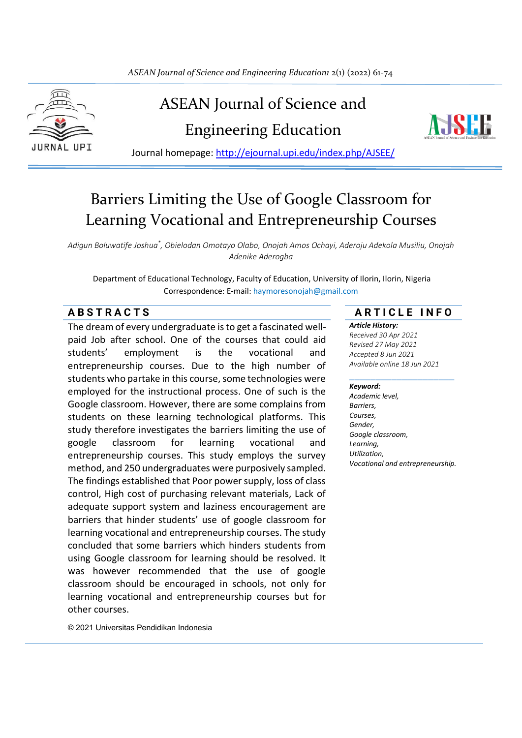

# ASEAN Journal of Science and Engineering Education



Journal homepage:<http://ejournal.upi.edu/index.php/AJSEE/>

# Barriers Limiting the Use of Google Classroom for Learning Vocational and Entrepreneurship Courses

*Adigun Boluwatife Joshua\* , Obielodan Omotayo Olabo, Onojah Amos Ochayi, Aderoju Adekola Musiliu, Onojah Adenike Aderogba*

Department of Educational Technology, Faculty of Education, University of Ilorin, Ilorin, Nigeria Correspondence: E-mail: haymoresonojah@gmail.com

The dream of every undergraduate is to get a fascinated wellpaid Job after school. One of the courses that could aid students' employment is the vocational and entrepreneurship courses. Due to the high number of students who partake in this course, some technologies were employed for the instructional process. One of such is the Google classroom. However, there are some complains from students on these learning technological platforms. This study therefore investigates the barriers limiting the use of google classroom for learning vocational and entrepreneurship courses. This study employs the survey method, and 250 undergraduates were purposively sampled. The findings established that Poor power supply, loss of class control, High cost of purchasing relevant materials, Lack of adequate support system and laziness encouragement are barriers that hinder students' use of google classroom for learning vocational and entrepreneurship courses. The study concluded that some barriers which hinders students from using Google classroom for learning should be resolved. It was however recommended that the use of google classroom should be encouraged in schools, not only for learning vocational and entrepreneurship courses but for other courses.

© 2021 Universitas Pendidikan Indonesia

# **A B S T R A C T S A R T I C L E I N F O**

*Article History: Received 30 Apr 2021 Revised 27 May 2021 Accepted 8 Jun 2021 Available online 18 Jun 2021*

#### \_\_\_\_\_\_\_\_\_\_\_\_\_\_\_\_\_\_\_\_ *Keyword:*

*Academic level, Barriers, Courses, Gender, Google classroom, Learning, Utilization, Vocational and entrepreneurship.*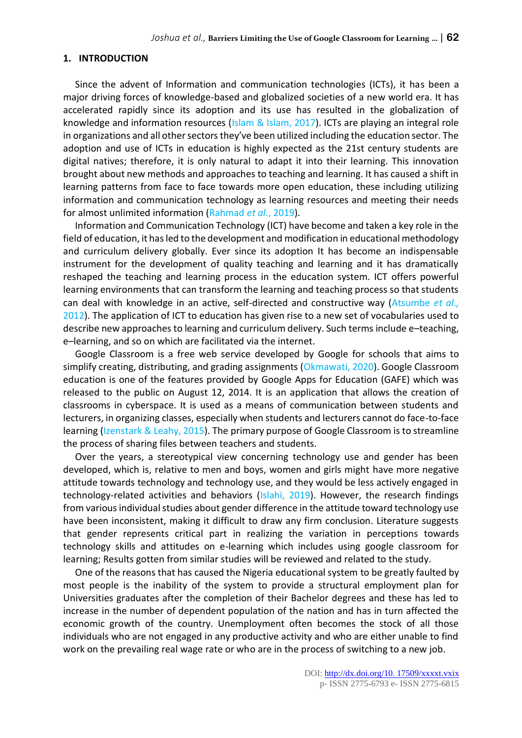#### **1. INTRODUCTION**

Since the advent of Information and communication technologies (ICTs), it has been a major driving forces of knowledge-based and globalized societies of a new world era. It has accelerated rapidly since its adoption and its use has resulted in the globalization of knowledge and information resources ( $\frac{1}{s}$ lam & Islam, 2017). ICTs are playing an integral role in organizations and all other sectors they've been utilized including the education sector. The adoption and use of ICTs in education is highly expected as the 21st century students are digital natives; therefore, it is only natural to adapt it into their learning. This innovation brought about new methods and approaches to teaching and learning. It has caused a shift in learning patterns from face to face towards more open education, these including utilizing information and communication technology as learning resources and meeting their needs for almost unlimited information (Rahmad *et al.*, 2019).

Information and Communication Technology (ICT) have become and taken a key role in the field of education, it has led to the development and modification in educational methodology and curriculum delivery globally. Ever since its adoption It has become an indispensable instrument for the development of quality teaching and learning and it has dramatically reshaped the teaching and learning process in the education system. ICT offers powerful learning environments that can transform the learning and teaching process so that students can deal with knowledge in an active, self-directed and constructive way (Atsumbe *et al.,*  2012). The application of ICT to education has given rise to a new set of vocabularies used to describe new approaches to learning and curriculum delivery. Such terms include e–teaching, e–learning, and so on which are facilitated via the internet.

Google Classroom is a free web service developed by Google for schools that aims to simplify creating, distributing, and grading assignments (Okmawati, 2020). Google Classroom education is one of the features provided by Google Apps for Education (GAFE) which was released to the public on August 12, 2014. It is an application that allows the creation of classrooms in cyberspace. It is used as a means of communication between students and lecturers, in organizing classes, especially when students and lecturers cannot do face-to-face learning (Izenstark & Leahy, 2015). The primary purpose of Google Classroom is to streamline the process of sharing files between teachers and students.

Over the years, a stereotypical view concerning technology use and gender has been developed, which is, relative to men and boys, women and girls might have more negative attitude towards technology and technology use, and they would be less actively engaged in technology-related activities and behaviors (Islahi, 2019). However, the research findings from various individual studies about gender difference in the attitude toward technology use have been inconsistent, making it difficult to draw any firm conclusion. Literature suggests that gender represents critical part in realizing the variation in perceptions towards technology skills and attitudes on e-learning which includes using google classroom for learning; Results gotten from similar studies will be reviewed and related to the study.

One of the reasons that has caused the Nigeria educational system to be greatly faulted by most people is the inability of the system to provide a structural employment plan for Universities graduates after the completion of their Bachelor degrees and these has led to increase in the number of dependent population of the nation and has in turn affected the economic growth of the country. Unemployment often becomes the stock of all those individuals who are not engaged in any productive activity and who are either unable to find work on the prevailing real wage rate or who are in the process of switching to a new job.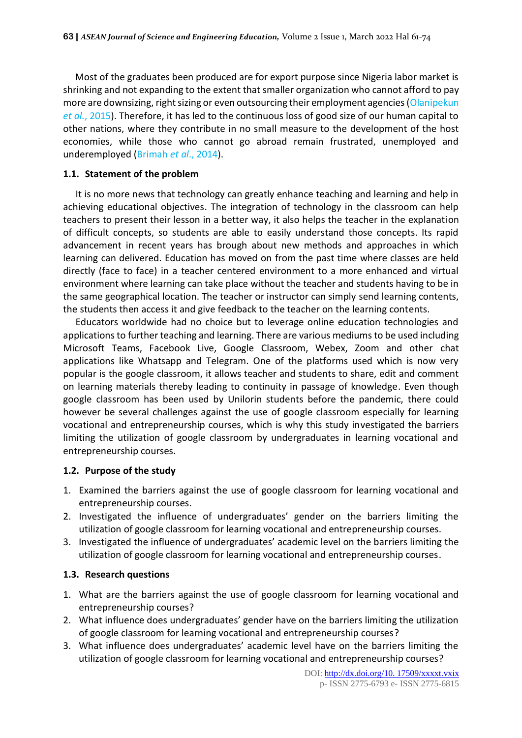Most of the graduates been produced are for export purpose since Nigeria labor market is shrinking and not expanding to the extent that smaller organization who cannot afford to pay more are downsizing, right sizing or even outsourcing their employment agencies (Olanipekun *et al.*, 2015). Therefore, it has led to the continuous loss of good size of our human capital to other nations, where they contribute in no small measure to the development of the host economies, while those who cannot go abroad remain frustrated, unemployed and underemployed (Brimah *et al*., 2014).

# **1.1. Statement of the problem**

It is no more news that technology can greatly enhance teaching and learning and help in achieving educational objectives. The integration of technology in the classroom can help teachers to present their lesson in a better way, it also helps the teacher in the explanation of difficult concepts, so students are able to easily understand those concepts. Its rapid advancement in recent years has brough about new methods and approaches in which learning can delivered. Education has moved on from the past time where classes are held directly (face to face) in a teacher centered environment to a more enhanced and virtual environment where learning can take place without the teacher and students having to be in the same geographical location. The teacher or instructor can simply send learning contents, the students then access it and give feedback to the teacher on the learning contents.

Educators worldwide had no choice but to leverage online education technologies and applications to further teaching and learning. There are various mediums to be used including Microsoft Teams, Facebook Live, Google Classroom, Webex, Zoom and other chat applications like Whatsapp and Telegram. One of the platforms used which is now very popular is the google classroom, it allows teacher and students to share, edit and comment on learning materials thereby leading to continuity in passage of knowledge. Even though google classroom has been used by Unilorin students before the pandemic, there could however be several challenges against the use of google classroom especially for learning vocational and entrepreneurship courses, which is why this study investigated the barriers limiting the utilization of google classroom by undergraduates in learning vocational and entrepreneurship courses.

#### **1.2. Purpose of the study**

- 1. Examined the barriers against the use of google classroom for learning vocational and entrepreneurship courses.
- 2. Investigated the influence of undergraduates' gender on the barriers limiting the utilization of google classroom for learning vocational and entrepreneurship courses.
- 3. Investigated the influence of undergraduates' academic level on the barriers limiting the utilization of google classroom for learning vocational and entrepreneurship courses.

# **1.3. Research questions**

- 1. What are the barriers against the use of google classroom for learning vocational and entrepreneurship courses?
- 2. What influence does undergraduates' gender have on the barriers limiting the utilization of google classroom for learning vocational and entrepreneurship courses?
- 3. What influence does undergraduates' academic level have on the barriers limiting the utilization of google classroom for learning vocational and entrepreneurship courses?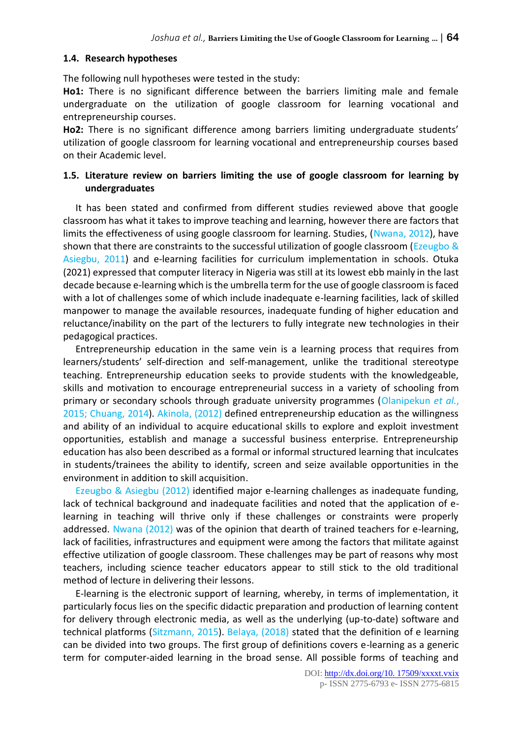# **1.4. Research hypotheses**

The following null hypotheses were tested in the study:

**Ho1:** There is no significant difference between the barriers limiting male and female undergraduate on the utilization of google classroom for learning vocational and entrepreneurship courses.

**Ho2:** There is no significant difference among barriers limiting undergraduate students' utilization of google classroom for learning vocational and entrepreneurship courses based on their Academic level.

# **1.5. Literature review on barriers limiting the use of google classroom for learning by undergraduates**

It has been stated and confirmed from different studies reviewed above that google classroom has what it takes to improve teaching and learning, however there are factors that limits the effectiveness of using google classroom for learning. Studies, (Nwana, 2012), have shown that there are constraints to the successful utilization of google classroom (Ezeugbo & Asiegbu, 2011) and e-learning facilities for curriculum implementation in schools. Otuka (2021) expressed that computer literacy in Nigeria was still at its lowest ebb mainly in the last decade because e-learning which is the umbrella term for the use of google classroom is faced with a lot of challenges some of which include inadequate e-learning facilities, lack of skilled manpower to manage the available resources, inadequate funding of higher education and reluctance/inability on the part of the lecturers to fully integrate new technologies in their pedagogical practices.

Entrepreneurship education in the same vein is a learning process that requires from learners/students' self-direction and self-management, unlike the traditional stereotype teaching. Entrepreneurship education seeks to provide students with the knowledgeable, skills and motivation to encourage entrepreneurial success in a variety of schooling from primary or secondary schools through graduate university programmes (Olanipekun *et al.*, 2015; Chuang, 2014). Akinola, (2012) defined entrepreneurship education as the willingness and ability of an individual to acquire educational skills to explore and exploit investment opportunities, establish and manage a successful business enterprise. Entrepreneurship education has also been described as a formal or informal structured learning that inculcates in students/trainees the ability to identify, screen and seize available opportunities in the environment in addition to skill acquisition.

Ezeugbo & Asiegbu (2012) identified major e-learning challenges as inadequate funding, lack of technical background and inadequate facilities and noted that the application of elearning in teaching will thrive only if these challenges or constraints were properly addressed. Nwana (2012) was of the opinion that dearth of trained teachers for e-learning, lack of facilities, infrastructures and equipment were among the factors that militate against effective utilization of google classroom. These challenges may be part of reasons why most teachers, including science teacher educators appear to still stick to the old traditional method of lecture in delivering their lessons.

E-learning is the electronic support of learning, whereby, in terms of implementation, it particularly focus lies on the specific didactic preparation and production of learning content for delivery through electronic media, as well as the underlying (up-to-date) software and technical platforms (Sitzmann, 2015). Belaya, (2018) stated that the definition of e learning can be divided into two groups. The first group of definitions covers e-learning as a generic term for computer-aided learning in the broad sense. All possible forms of teaching and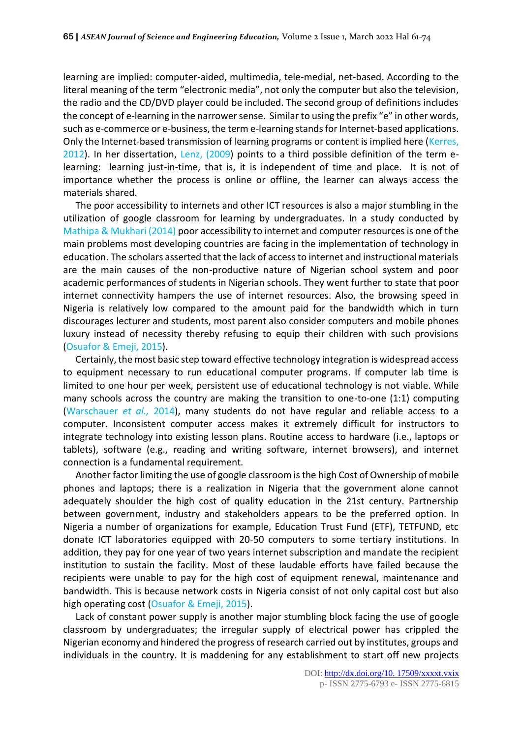learning are implied: computer-aided, multimedia, tele-medial, net-based. According to the literal meaning of the term "electronic media", not only the computer but also the television, the radio and the CD/DVD player could be included. The second group of definitions includes the concept of e-learning in the narrower sense. Similar to using the prefix "e" in other words, such as e-commerce or e-business, the term e-learning stands for Internet-based applications. Only the Internet-based transmission of learning programs or content is implied here (Kerres, 2012). In her dissertation, Lenz, (2009) points to a third possible definition of the term elearning: learning just-in-time, that is, it is independent of time and place. It is not of importance whether the process is online or offline, the learner can always access the materials shared.

The poor accessibility to internets and other ICT resources is also a major stumbling in the utilization of google classroom for learning by undergraduates. In a study conducted by Mathipa & Mukhari (2014) poor accessibility to internet and computer resources is one of the main problems most developing countries are facing in the implementation of technology in education. The scholars asserted that the lack of access to internet and instructional materials are the main causes of the non-productive nature of Nigerian school system and poor academic performances of students in Nigerian schools. They went further to state that poor internet connectivity hampers the use of internet resources. Also, the browsing speed in Nigeria is relatively low compared to the amount paid for the bandwidth which in turn discourages lecturer and students, most parent also consider computers and mobile phones luxury instead of necessity thereby refusing to equip their children with such provisions (Osuafor & Emeji, 2015).

Certainly, the most basic step toward effective technology integration is widespread access to equipment necessary to run educational computer programs. If computer lab time is limited to one hour per week, persistent use of educational technology is not viable. While many schools across the country are making the transition to one-to-one (1:1) computing (Warschauer *et al.,* 2014), many students do not have regular and reliable access to a computer. Inconsistent computer access makes it extremely difficult for instructors to integrate technology into existing lesson plans. Routine access to hardware (i.e., laptops or tablets), software (e.g., reading and writing software, internet browsers), and internet connection is a fundamental requirement.

Another factor limiting the use of google classroom is the high Cost of Ownership of mobile phones and laptops; there is a realization in Nigeria that the government alone cannot adequately shoulder the high cost of quality education in the 21st century. Partnership between government, industry and stakeholders appears to be the preferred option. In Nigeria a number of organizations for example, Education Trust Fund (ETF), TETFUND, etc donate ICT laboratories equipped with 20-50 computers to some tertiary institutions. In addition, they pay for one year of two years internet subscription and mandate the recipient institution to sustain the facility. Most of these laudable efforts have failed because the recipients were unable to pay for the high cost of equipment renewal, maintenance and bandwidth. This is because network costs in Nigeria consist of not only capital cost but also high operating cost (Osuafor & Emeji, 2015).

Lack of constant power supply is another major stumbling block facing the use of google classroom by undergraduates; the irregular supply of electrical power has crippled the Nigerian economy and hindered the progress of research carried out by institutes, groups and individuals in the country. It is maddening for any establishment to start off new projects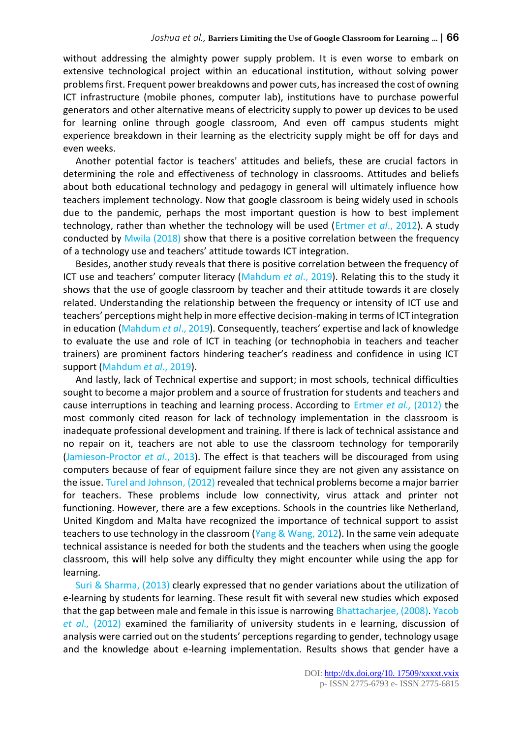without addressing the almighty power supply problem. It is even worse to embark on extensive technological project within an educational institution, without solving power problems first. Frequent power breakdowns and power cuts, has increased the cost of owning ICT infrastructure (mobile phones, computer lab), institutions have to purchase powerful generators and other alternative means of electricity supply to power up devices to be used for learning online through google classroom, And even off campus students might experience breakdown in their learning as the electricity supply might be off for days and even weeks.

Another potential factor is teachers' attitudes and beliefs, these are crucial factors in determining the role and effectiveness of technology in classrooms. Attitudes and beliefs about both educational technology and pedagogy in general will ultimately influence how teachers implement technology. Now that google classroom is being widely used in schools due to the pandemic, perhaps the most important question is how to best implement technology, rather than whether the technology will be used (Ertmer *et al*., 2012). A study conducted by Mwila (2018) show that there is a positive correlation between the frequency of a technology use and teachers' attitude towards ICT integration.

Besides, another study reveals that there is positive correlation between the frequency of ICT use and teachers' computer literacy (Mahdum *et al*., 2019). Relating this to the study it shows that the use of google classroom by teacher and their attitude towards it are closely related. Understanding the relationship between the frequency or intensity of ICT use and teachers' perceptions might help in more effective decision-making in terms of ICT integration in education (Mahdum *et al*., 2019). Consequently, teachers' expertise and lack of knowledge to evaluate the use and role of ICT in teaching (or technophobia in teachers and teacher trainers) are prominent factors hindering teacher's readiness and confidence in using ICT support (Mahdum *et al*., 2019).

And lastly, lack of Technical expertise and support; in most schools, technical difficulties sought to become a major problem and a source of frustration for students and teachers and cause interruptions in teaching and learning process. According to Ertmer *et al.,* (2012) the most commonly cited reason for lack of technology implementation in the classroom is inadequate professional development and training. If there is lack of technical assistance and no repair on it, teachers are not able to use the classroom technology for temporarily (Jamieson-Proctor *et al*., 2013). The effect is that teachers will be discouraged from using computers because of fear of equipment failure since they are not given any assistance on the issue. Turel and Johnson, (2012) revealed that technical problems become a major barrier for teachers. These problems include low connectivity, virus attack and printer not functioning. However, there are a few exceptions. Schools in the countries like Netherland, United Kingdom and Malta have recognized the importance of technical support to assist teachers to use technology in the classroom (Yang & Wang, 2012). In the same vein adequate technical assistance is needed for both the students and the teachers when using the google classroom, this will help solve any difficulty they might encounter while using the app for learning.

Suri & Sharma, (2013) clearly expressed that no gender variations about the utilization of e-learning by students for learning. These result fit with several new studies which exposed that the gap between male and female in this issue is narrowing Bhattacharjee, (2008). Yacob *et al.,* (2012) examined the familiarity of university students in e learning, discussion of analysis were carried out on the students' perceptions regarding to gender, technology usage and the knowledge about e-learning implementation. Results shows that gender have a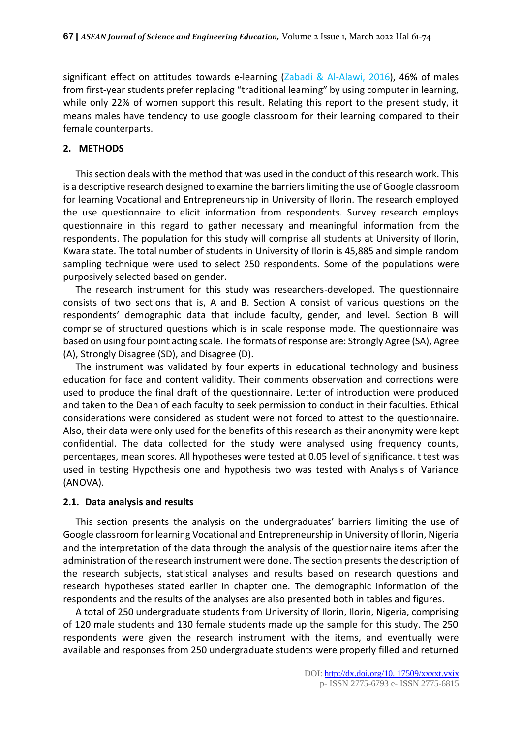significant effect on attitudes towards e-learning (Zabadi & Al-Alawi, 2016), 46% of males from first-year students prefer replacing "traditional learning" by using computer in learning, while only 22% of women support this result. Relating this report to the present study, it means males have tendency to use google classroom for their learning compared to their female counterparts.

## **2. METHODS**

This section deals with the method that was used in the conduct of this research work. This is a descriptive research designed to examine the barriers limiting the use of Google classroom for learning Vocational and Entrepreneurship in University of Ilorin. The research employed the use questionnaire to elicit information from respondents. Survey research employs questionnaire in this regard to gather necessary and meaningful information from the respondents. The population for this study will comprise all students at University of Ilorin, Kwara state. The total number of students in University of Ilorin is 45,885 and simple random sampling technique were used to select 250 respondents. Some of the populations were purposively selected based on gender.

The research instrument for this study was researchers-developed. The questionnaire consists of two sections that is, A and B. Section A consist of various questions on the respondents' demographic data that include faculty, gender, and level. Section B will comprise of structured questions which is in scale response mode. The questionnaire was based on using four point acting scale. The formats of response are: Strongly Agree (SA), Agree (A), Strongly Disagree (SD), and Disagree (D).

The instrument was validated by four experts in educational technology and business education for face and content validity. Their comments observation and corrections were used to produce the final draft of the questionnaire. Letter of introduction were produced and taken to the Dean of each faculty to seek permission to conduct in their faculties. Ethical considerations were considered as student were not forced to attest to the questionnaire. Also, their data were only used for the benefits of this research as their anonymity were kept confidential. The data collected for the study were analysed using frequency counts, percentages, mean scores. All hypotheses were tested at 0.05 level of significance. t test was used in testing Hypothesis one and hypothesis two was tested with Analysis of Variance (ANOVA).

#### **2.1. Data analysis and results**

This section presents the analysis on the undergraduates' barriers limiting the use of Google classroom for learning Vocational and Entrepreneurship in University of Ilorin, Nigeria and the interpretation of the data through the analysis of the questionnaire items after the administration of the research instrument were done. The section presents the description of the research subjects, statistical analyses and results based on research questions and research hypotheses stated earlier in chapter one. The demographic information of the respondents and the results of the analyses are also presented both in tables and figures.

A total of 250 undergraduate students from University of Ilorin, Ilorin, Nigeria, comprising of 120 male students and 130 female students made up the sample for this study. The 250 respondents were given the research instrument with the items, and eventually were available and responses from 250 undergraduate students were properly filled and returned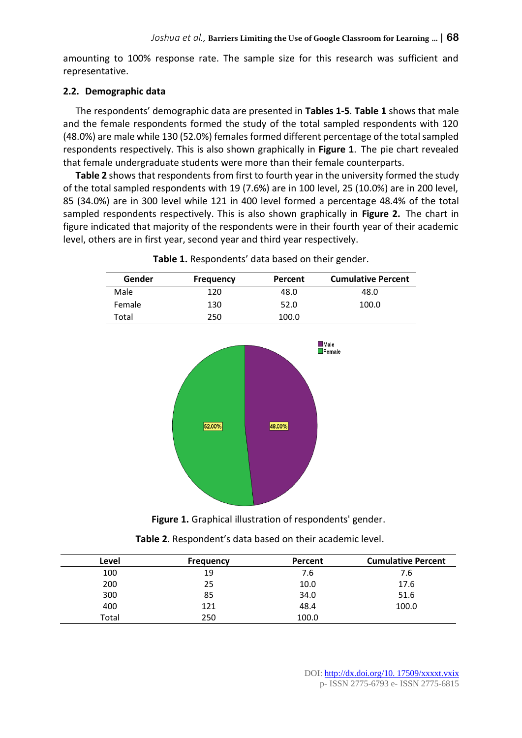amounting to 100% response rate. The sample size for this research was sufficient and representative.

#### **2.2. Demographic data**

The respondents' demographic data are presented in **Tables 1-5**. **Table 1** shows that male and the female respondents formed the study of the total sampled respondents with 120 (48.0%) are male while 130 (52.0%) females formed different percentage of the total sampled respondents respectively. This is also shown graphically in **Figure 1**. The pie chart revealed that female undergraduate students were more than their female counterparts.

**Table 2** shows that respondents from first to fourth year in the university formed the study of the total sampled respondents with 19 (7.6%) are in 100 level, 25 (10.0%) are in 200 level, 85 (34.0%) are in 300 level while 121 in 400 level formed a percentage 48.4% of the total sampled respondents respectively. This is also shown graphically in **Figure 2.** The chart in figure indicated that majority of the respondents were in their fourth year of their academic level, others are in first year, second year and third year respectively.

| Gender | <b>Frequency</b> | Percent | <b>Cumulative Percent</b> |
|--------|------------------|---------|---------------------------|
| Male   | 120              | 48.0    | 48.0                      |
| Female | 130              | 52.0    | 100.0                     |
| Total  | 250              | 100.0   |                           |



**Table 1.** Respondents' data based on their gender.

**Figure 1.** Graphical illustration of respondents' gender.

| Level | <b>Frequency</b> | Percent | <b>Cumulative Percent</b> |
|-------|------------------|---------|---------------------------|
| 100   | 19               | 7.6     | 7.6                       |
| 200   | 25               | 10.0    | 17.6                      |
| 300   | 85               | 34.0    | 51.6                      |
| 400   | 121              | 48.4    | 100.0                     |
| Total | 250              | 100.0   |                           |

**Table 2**. Respondent's data based on their academic level.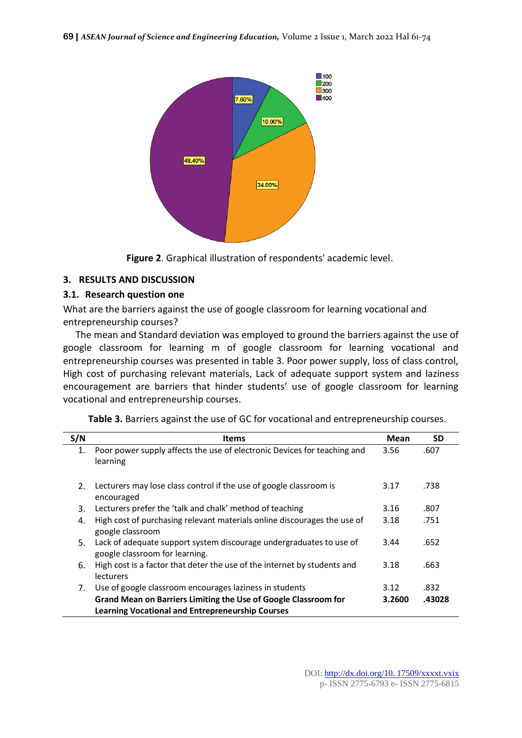

**Figure 2**. Graphical illustration of respondents' academic level.

#### **3. RESULTS AND DISCUSSION**

#### **3.1. Research question one**

What are the barriers against the use of google classroom for learning vocational and entrepreneurship courses?

The mean and Standard deviation was employed to ground the barriers against the use of google classroom for learning m of google classroom for learning vocational and entrepreneurship courses was presented in table 3. Poor power supply, loss of class control, High cost of purchasing relevant materials, Lack of adequate support system and laziness encouragement are barriers that hinder students' use of google classroom for learning vocational and entrepreneurship courses.

| S/N     | Items                                                                                                                      | Mean   | <b>SD</b> |
|---------|----------------------------------------------------------------------------------------------------------------------------|--------|-----------|
| 1.      | Poor power supply affects the use of electronic Devices for teaching and<br>learning                                       | 3.56   | .607      |
| $2_{-}$ | Lecturers may lose class control if the use of google classroom is<br>encouraged                                           | 3.17   | .738      |
| 3.      | Lecturers prefer the 'talk and chalk' method of teaching                                                                   | 3.16   | .807      |
| 4.      | High cost of purchasing relevant materials online discourages the use of<br>google classroom                               | 3.18   | .751      |
| 5.      | Lack of adequate support system discourage undergraduates to use of<br>google classroom for learning.                      | 3.44   | .652      |
| 6.      | High cost is a factor that deter the use of the internet by students and<br>lecturers                                      | 3.18   | .663      |
| 7.      | Use of google classroom encourages laziness in students                                                                    | 3.12   | .832      |
|         | Grand Mean on Barriers Limiting the Use of Google Classroom for<br><b>Learning Vocational and Entrepreneurship Courses</b> | 3.2600 | .43028    |

**Table 3.** Barriers against the use of GC for vocational and entrepreneurship courses.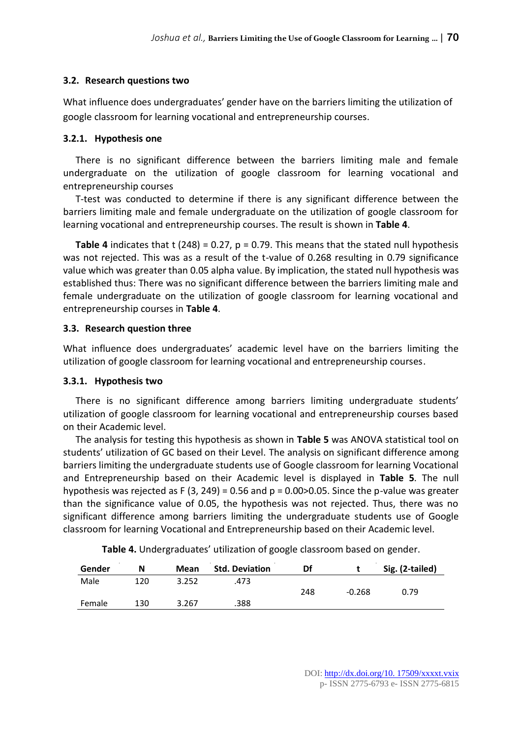# **3.2. Research questions two**

What influence does undergraduates' gender have on the barriers limiting the utilization of google classroom for learning vocational and entrepreneurship courses.

# **3.2.1. Hypothesis one**

There is no significant difference between the barriers limiting male and female undergraduate on the utilization of google classroom for learning vocational and entrepreneurship courses

T-test was conducted to determine if there is any significant difference between the barriers limiting male and female undergraduate on the utilization of google classroom for learning vocational and entrepreneurship courses. The result is shown in **Table 4**.

**Table 4** indicates that  $t$  (248) = 0.27,  $p = 0.79$ . This means that the stated null hypothesis was not rejected. This was as a result of the t-value of 0.268 resulting in 0.79 significance value which was greater than 0.05 alpha value. By implication, the stated null hypothesis was established thus: There was no significant difference between the barriers limiting male and female undergraduate on the utilization of google classroom for learning vocational and entrepreneurship courses in **Table 4**.

# **3.3. Research question three**

What influence does undergraduates' academic level have on the barriers limiting the utilization of google classroom for learning vocational and entrepreneurship courses.

# **3.3.1. Hypothesis two**

There is no significant difference among barriers limiting undergraduate students' utilization of google classroom for learning vocational and entrepreneurship courses based on their Academic level.

The analysis for testing this hypothesis as shown in **Table 5** was ANOVA statistical tool on students' utilization of GC based on their Level. The analysis on significant difference among barriers limiting the undergraduate students use of Google classroom for learning Vocational and Entrepreneurship based on their Academic level is displayed in **Table 5**. The null hypothesis was rejected as F (3, 249) = 0.56 and  $p = 0.00 > 0.05$ . Since the p-value was greater than the significance value of 0.05, the hypothesis was not rejected. Thus, there was no significant difference among barriers limiting the undergraduate students use of Google classroom for learning Vocational and Entrepreneurship based on their Academic level.

| Gender | N   | Mean  | <b>Std. Deviation</b> | Df  |          | Sig. (2-tailed) |
|--------|-----|-------|-----------------------|-----|----------|-----------------|
| Male   | 120 | 3.252 | .473                  | 248 | $-0.268$ | 0.79            |
| Female | 130 | 3.267 | .388                  |     |          |                 |

**Table 4.** Undergraduates' utilization of google classroom based on gender.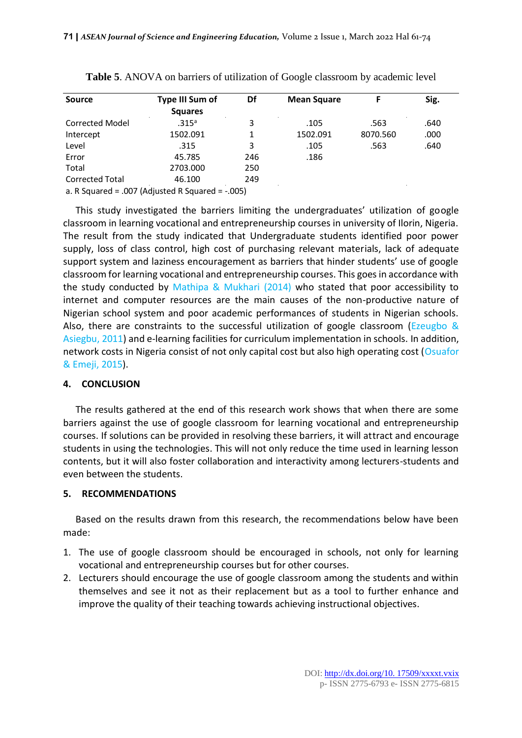| <b>Source</b>                                       | <b>Type III Sum of</b> | Df  | <b>Mean Square</b> | F        | Sig. |
|-----------------------------------------------------|------------------------|-----|--------------------|----------|------|
|                                                     | <b>Squares</b>         |     |                    |          |      |
| <b>Corrected Model</b>                              | .315 <sup>a</sup>      | 3   | .105               | .563     | .640 |
| Intercept                                           | 1502.091               | 1   | 1502.091           | 8070.560 | .000 |
| Level                                               | .315                   | 3   | .105               | .563     | .640 |
| Error                                               | 45.785                 | 246 | .186               |          |      |
| Total                                               | 2703.000               | 250 |                    |          |      |
| <b>Corrected Total</b>                              | 46.100                 | 249 |                    |          |      |
| a. R Squared = .007 (Adjusted R Squared = $-.005$ ) |                        |     |                    |          |      |

| Table 5. ANOVA on barriers of utilization of Google classroom by academic level |  |  |  |
|---------------------------------------------------------------------------------|--|--|--|
|---------------------------------------------------------------------------------|--|--|--|

This study investigated the barriers limiting the undergraduates' utilization of google classroom in learning vocational and entrepreneurship courses in university of Ilorin, Nigeria. The result from the study indicated that Undergraduate students identified poor power supply, loss of class control, high cost of purchasing relevant materials, lack of adequate support system and laziness encouragement as barriers that hinder students' use of google classroom for learning vocational and entrepreneurship courses. This goes in accordance with the study conducted by Mathipa & Mukhari (2014) who stated that poor accessibility to internet and computer resources are the main causes of the non-productive nature of Nigerian school system and poor academic performances of students in Nigerian schools. Also, there are constraints to the successful utilization of google classroom (Ezeugbo  $\&$ Asiegbu, 2011) and e-learning facilities for curriculum implementation in schools. In addition, network costs in Nigeria consist of not only capital cost but also high operating cost (Osuafor & Emeji, 2015).

#### **4. CONCLUSION**

The results gathered at the end of this research work shows that when there are some barriers against the use of google classroom for learning vocational and entrepreneurship courses. If solutions can be provided in resolving these barriers, it will attract and encourage students in using the technologies. This will not only reduce the time used in learning lesson contents, but it will also foster collaboration and interactivity among lecturers-students and even between the students.

# **5. RECOMMENDATIONS**

Based on the results drawn from this research, the recommendations below have been made:

- 1. The use of google classroom should be encouraged in schools, not only for learning vocational and entrepreneurship courses but for other courses.
- 2. Lecturers should encourage the use of google classroom among the students and within themselves and see it not as their replacement but as a tool to further enhance and improve the quality of their teaching towards achieving instructional objectives.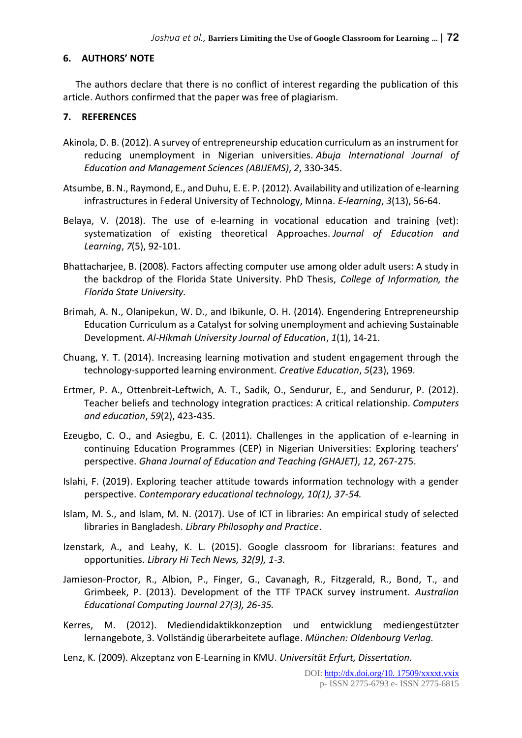# **6. AUTHORS' NOTE**

The authors declare that there is no conflict of interest regarding the publication of this article. Authors confirmed that the paper was free of plagiarism.

# **7. REFERENCES**

- Akinola, D. B. (2012). A survey of entrepreneurship education curriculum as an instrument for reducing unemployment in Nigerian universities. *Abuja International Journal of Education and Management Sciences (ABIJEMS)*, *2*, 330-345.
- Atsumbe, B. N., Raymond, E., and Duhu, E. E. P. (2012). Availability and utilization of e-learning infrastructures in Federal University of Technology, Minna. *E-learning*, *3*(13), 56-64.
- Belaya, V. (2018). The use of e-learning in vocational education and training (vet): systematization of existing theoretical Approaches. *Journal of Education and Learning*, *7*(5), 92-101.
- Bhattacharjee, B. (2008). Factors affecting computer use among older adult users: A study in the backdrop of the Florida State University. PhD Thesis, *College of Information, the Florida State University.*
- Brimah, A. N., Olanipekun, W. D., and Ibikunle, O. H. (2014). Engendering Entrepreneurship Education Curriculum as a Catalyst for solving unemployment and achieving Sustainable Development. *Al-Hikmah University Journal of Education*, *1*(1), 14-21.
- Chuang, Y. T. (2014). Increasing learning motivation and student engagement through the technology-supported learning environment. *Creative Education*, *5*(23), 1969.
- Ertmer, P. A., Ottenbreit-Leftwich, A. T., Sadik, O., Sendurur, E., and Sendurur, P. (2012). Teacher beliefs and technology integration practices: A critical relationship. *Computers and education*, *59*(2), 423-435.
- Ezeugbo, C. O., and Asiegbu, E. C. (2011). Challenges in the application of e-learning in continuing Education Programmes (CEP) in Nigerian Universities: Exploring teachers' perspective. *Ghana Journal of Education and Teaching (GHAJET)*, *12*, 267-275.
- Islahi, F. (2019). Exploring teacher attitude towards information technology with a gender perspective. *Contemporary educational technology, 10(1), 37-54.*
- Islam, M. S., and Islam, M. N. (2017). Use of ICT in libraries: An empirical study of selected libraries in Bangladesh. *Library Philosophy and Practice*.
- Izenstark, A., and Leahy, K. L. (2015). Google classroom for librarians: features and opportunities. *Library Hi Tech News, 32(9), 1-3.*
- Jamieson-Proctor, R., Albion, P., Finger, G., Cavanagh, R., Fitzgerald, R., Bond, T., and Grimbeek, P. (2013). Development of the TTF TPACK survey instrument. *Australian Educational Computing Journal 27(3), 26-35.*
- Kerres, M. (2012). Mediendidaktikkonzeption und entwicklung mediengestützter lernangebote, 3. Vollständig überarbeitete auflage. *München: Oldenbourg Verlag.*
- Lenz, K. (2009). Akzeptanz von E-Learning in KMU. *Universität Erfurt, Dissertation.*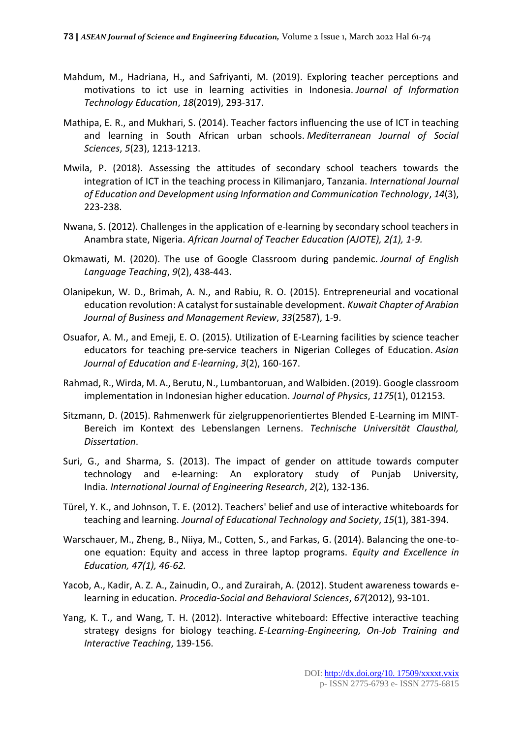- Mahdum, M., Hadriana, H., and Safriyanti, M. (2019). Exploring teacher perceptions and motivations to ict use in learning activities in Indonesia. *Journal of Information Technology Education*, *18*(2019), 293-317.
- Mathipa, E. R., and Mukhari, S. (2014). Teacher factors influencing the use of ICT in teaching and learning in South African urban schools. *Mediterranean Journal of Social Sciences*, *5*(23), 1213-1213.
- Mwila, P. (2018). Assessing the attitudes of secondary school teachers towards the integration of ICT in the teaching process in Kilimanjaro, Tanzania. *International Journal of Education and Development using Information and Communication Technology*, *14*(3), 223-238.
- Nwana, S. (2012). Challenges in the application of e-learning by secondary school teachers in Anambra state, Nigeria. *African Journal of Teacher Education (AJOTE), 2(1), 1-9.*
- Okmawati, M. (2020). The use of Google Classroom during pandemic. *Journal of English Language Teaching*, *9*(2), 438-443.
- Olanipekun, W. D., Brimah, A. N., and Rabiu, R. O. (2015). Entrepreneurial and vocational education revolution: A catalyst for sustainable development. *Kuwait Chapter of Arabian Journal of Business and Management Review*, *33*(2587), 1-9.
- Osuafor, A. M., and Emeji, E. O. (2015). Utilization of E-Learning facilities by science teacher educators for teaching pre-service teachers in Nigerian Colleges of Education. *Asian Journal of Education and E-learning*, *3*(2), 160-167.
- Rahmad, R., Wirda, M. A., Berutu, N., Lumbantoruan, and Walbiden. (2019). Google classroom implementation in Indonesian higher education. *Journal of Physics*, *1175*(1), 012153.
- Sitzmann, D. (2015). Rahmenwerk für zielgruppenorientiertes Blended E-Learning im MINT-Bereich im Kontext des Lebenslangen Lernens. *Technische Universität Clausthal, Dissertation*.
- Suri, G., and Sharma, S. (2013). The impact of gender on attitude towards computer technology and e-learning: An exploratory study of Punjab University, India. *International Journal of Engineering Research*, *2*(2), 132-136.
- Türel, Y. K., and Johnson, T. E. (2012). Teachers' belief and use of interactive whiteboards for teaching and learning. *Journal of Educational Technology and Society*, *15*(1), 381-394.
- Warschauer, M., Zheng, B., Niiya, M., Cotten, S., and Farkas, G. (2014). Balancing the one-toone equation: Equity and access in three laptop programs. *Equity and Excellence in Education, 47(1), 46-62.*
- Yacob, A., Kadir, A. Z. A., Zainudin, O., and Zurairah, A. (2012). Student awareness towards elearning in education. *Procedia-Social and Behavioral Sciences*, *67*(2012), 93-101.
- Yang, K. T., and Wang, T. H. (2012). Interactive whiteboard: Effective interactive teaching strategy designs for biology teaching. *E-Learning-Engineering, On-Job Training and Interactive Teaching*, 139-156.